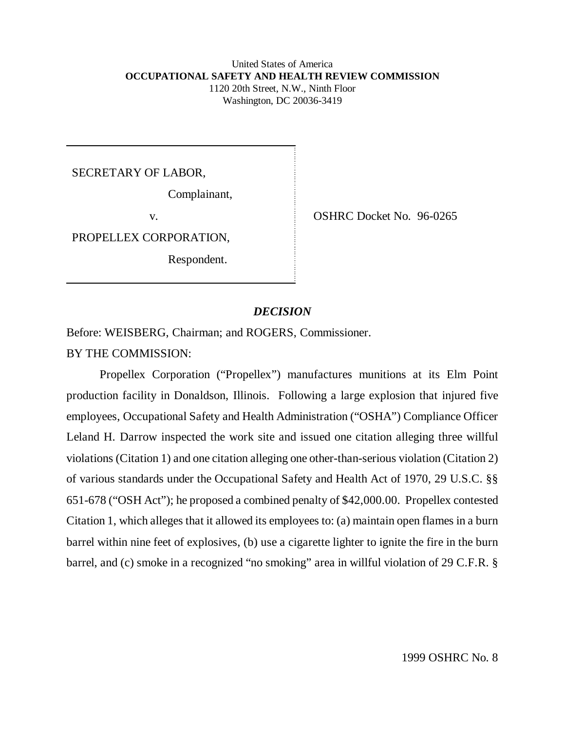#### United States of America **OCCUPATIONAL SAFETY AND HEALTH REVIEW COMMISSION** 1120 20th Street, N.W., Ninth Floor Washington, DC 20036-3419

SECRETARY OF LABOR,

Complainant,

PROPELLEX CORPORATION,

Respondent.

v. COSHRC Docket No. 96-0265

### *DECISION*

Before: WEISBERG, Chairman; and ROGERS, Commissioner. BY THE COMMISSION:

Propellex Corporation ("Propellex") manufactures munitions at its Elm Point production facility in Donaldson, Illinois. Following a large explosion that injured five employees, Occupational Safety and Health Administration ("OSHA") Compliance Officer Leland H. Darrow inspected the work site and issued one citation alleging three willful violations (Citation 1) and one citation alleging one other-than-serious violation (Citation 2) of various standards under the Occupational Safety and Health Act of 1970, 29 U.S.C. §§ 651-678 ("OSH Act"); he proposed a combined penalty of \$42,000.00. Propellex contested Citation 1, which alleges that it allowed its employees to: (a) maintain open flames in a burn barrel within nine feet of explosives, (b) use a cigarette lighter to ignite the fire in the burn barrel, and (c) smoke in a recognized "no smoking" area in willful violation of 29 C.F.R. §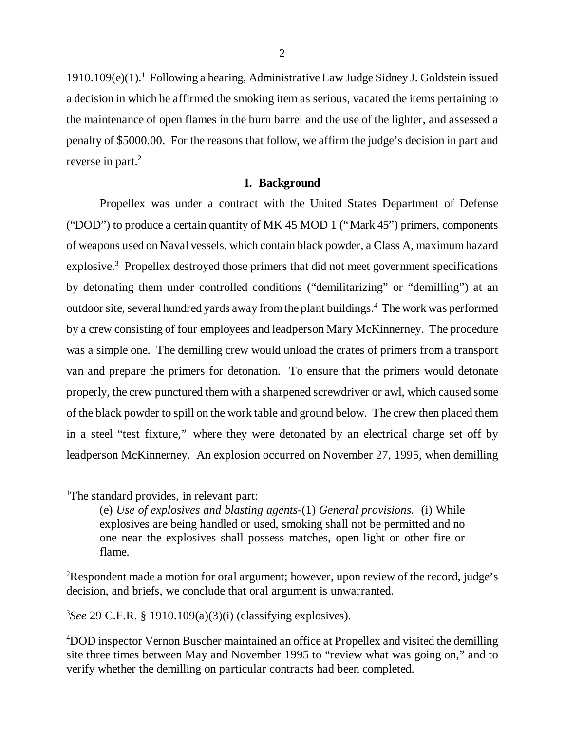1910.109(e)(1).<sup>1</sup> Following a hearing, Administrative Law Judge Sidney J. Goldstein issued a decision in which he affirmed the smoking item as serious, vacated the items pertaining to the maintenance of open flames in the burn barrel and the use of the lighter, and assessed a penalty of \$5000.00. For the reasons that follow, we affirm the judge's decision in part and reverse in part. $2$ 

#### **I. Background**

Propellex was under a contract with the United States Department of Defense ("DOD") to produce a certain quantity of MK 45 MOD 1 ("Mark 45") primers, components of weapons used on Naval vessels, which contain black powder, a Class A, maximum hazard explosive.<sup>3</sup> Propellex destroyed those primers that did not meet government specifications by detonating them under controlled conditions ("demilitarizing" or "demilling") at an outdoor site, several hundred yards away from the plant buildings.<sup>4</sup> The work was performed by a crew consisting of four employees and leadperson Mary McKinnerney. The procedure was a simple one. The demilling crew would unload the crates of primers from a transport van and prepare the primers for detonation. To ensure that the primers would detonate properly, the crew punctured them with a sharpened screwdriver or awl, which caused some of the black powder to spill on the work table and ground below. The crew then placed them in a steel "test fixture," where they were detonated by an electrical charge set off by leadperson McKinnerney. An explosion occurred on November 27, 1995, when demilling

3 *See* 29 C.F.R. § 1910.109(a)(3)(i) (classifying explosives).

<sup>&</sup>lt;sup>1</sup>The standard provides, in relevant part:

<sup>(</sup>e) *Use of explosives and blasting agents-*(1) *General provisions.* (i) While explosives are being handled or used, smoking shall not be permitted and no one near the explosives shall possess matches, open light or other fire or flame.

<sup>&</sup>lt;sup>2</sup>Respondent made a motion for oral argument; however, upon review of the record, judge's decision, and briefs, we conclude that oral argument is unwarranted.

<sup>4</sup>DOD inspector Vernon Buscher maintained an office at Propellex and visited the demilling site three times between May and November 1995 to "review what was going on," and to verify whether the demilling on particular contracts had been completed.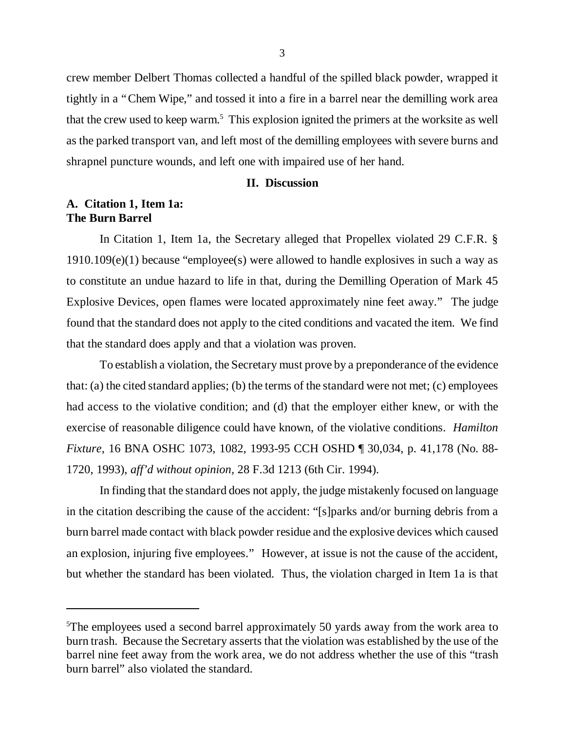crew member Delbert Thomas collected a handful of the spilled black powder, wrapped it tightly in a "Chem Wipe," and tossed it into a fire in a barrel near the demilling work area that the crew used to keep warm.<sup>5</sup> This explosion ignited the primers at the worksite as well as the parked transport van, and left most of the demilling employees with severe burns and shrapnel puncture wounds, and left one with impaired use of her hand.

## **II. Discussion**

## **A. Citation 1, Item 1a: The Burn Barrel**

In Citation 1, Item 1a, the Secretary alleged that Propellex violated 29 C.F.R. §  $1910.109(e)(1)$  because "employee(s) were allowed to handle explosives in such a way as to constitute an undue hazard to life in that, during the Demilling Operation of Mark 45 Explosive Devices, open flames were located approximately nine feet away." The judge found that the standard does not apply to the cited conditions and vacated the item. We find that the standard does apply and that a violation was proven.

To establish a violation, the Secretary must prove by a preponderance of the evidence that: (a) the cited standard applies; (b) the terms of the standard were not met; (c) employees had access to the violative condition; and (d) that the employer either knew, or with the exercise of reasonable diligence could have known, of the violative conditions. *Hamilton Fixture,* 16 BNA OSHC 1073, 1082, 1993-95 CCH OSHD ¶ 30,034, p. 41,178 (No. 88- 1720, 1993), *aff'd without opinion,* 28 F.3d 1213 (6th Cir. 1994).

In finding that the standard does not apply, the judge mistakenly focused on language in the citation describing the cause of the accident: "[s]parks and/or burning debris from a burn barrel made contact with black powder residue and the explosive devices which caused an explosion, injuring five employees." However, at issue is not the cause of the accident, but whether the standard has been violated. Thus, the violation charged in Item 1a is that

<sup>&</sup>lt;sup>5</sup>The employees used a second barrel approximately 50 yards away from the work area to burn trash. Because the Secretary asserts that the violation was established by the use of the barrel nine feet away from the work area, we do not address whether the use of this "trash burn barrel" also violated the standard.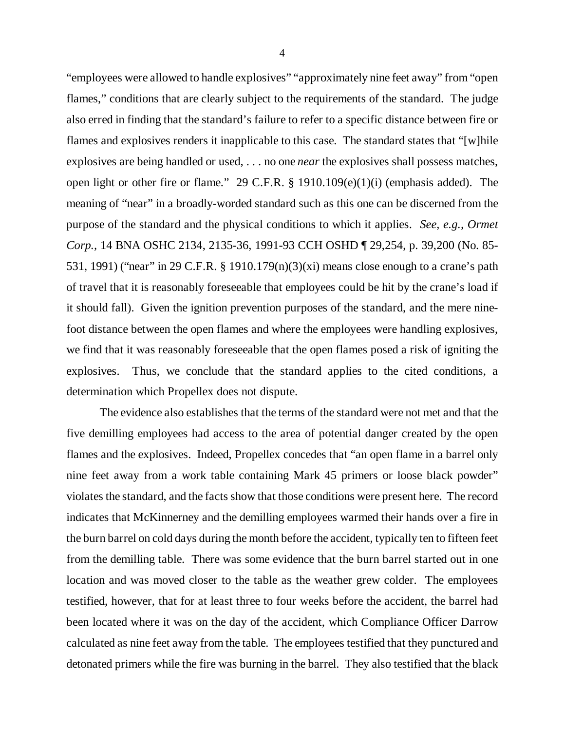"employees were allowed to handle explosives" "approximately nine feet away" from "open flames," conditions that are clearly subject to the requirements of the standard. The judge also erred in finding that the standard's failure to refer to a specific distance between fire or flames and explosives renders it inapplicable to this case. The standard states that "[w]hile explosives are being handled or used, . . . no one *near* the explosives shall possess matches, open light or other fire or flame." 29 C.F.R. § 1910.109(e)(1)(i) (emphasis added). The meaning of "near" in a broadly-worded standard such as this one can be discerned from the purpose of the standard and the physical conditions to which it applies. *See, e.g., Ormet Corp.,* 14 BNA OSHC 2134, 2135-36, 1991-93 CCH OSHD ¶ 29,254, p. 39,200 (No. 85- 531, 1991) ("near" in 29 C.F.R. § 1910.179(n)(3)(xi) means close enough to a crane's path of travel that it is reasonably foreseeable that employees could be hit by the crane's load if it should fall). Given the ignition prevention purposes of the standard, and the mere ninefoot distance between the open flames and where the employees were handling explosives, we find that it was reasonably foreseeable that the open flames posed a risk of igniting the explosives. Thus, we conclude that the standard applies to the cited conditions, a determination which Propellex does not dispute.

The evidence also establishes that the terms of the standard were not met and that the five demilling employees had access to the area of potential danger created by the open flames and the explosives. Indeed, Propellex concedes that "an open flame in a barrel only nine feet away from a work table containing Mark 45 primers or loose black powder" violates the standard, and the facts show that those conditions were present here. The record indicates that McKinnerney and the demilling employees warmed their hands over a fire in the burn barrel on cold days during the month before the accident, typically ten to fifteen feet from the demilling table. There was some evidence that the burn barrel started out in one location and was moved closer to the table as the weather grew colder. The employees testified, however, that for at least three to four weeks before the accident, the barrel had been located where it was on the day of the accident, which Compliance Officer Darrow calculated as nine feet away from the table. The employees testified that they punctured and detonated primers while the fire was burning in the barrel. They also testified that the black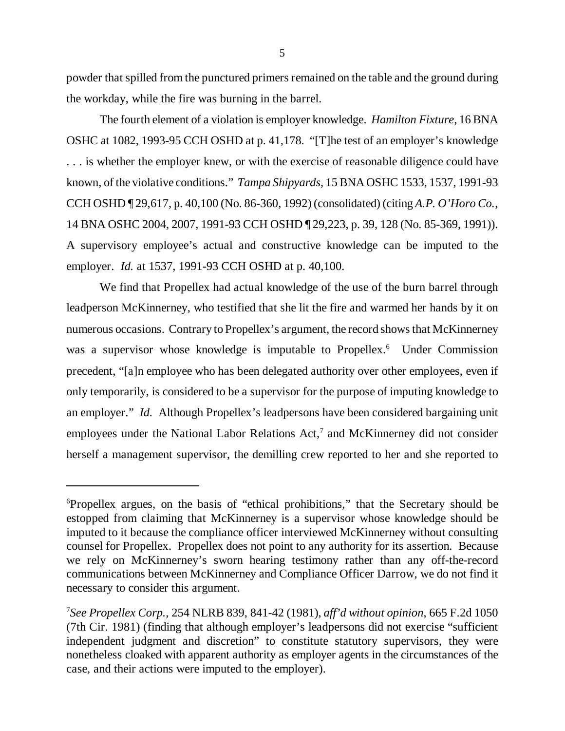powder that spilled from the punctured primers remained on the table and the ground during the workday, while the fire was burning in the barrel.

The fourth element of a violation is employer knowledge. *Hamilton Fixture,* 16 BNA OSHC at 1082, 1993-95 CCH OSHD at p. 41,178. "[T]he test of an employer's knowledge . . . is whether the employer knew, or with the exercise of reasonable diligence could have known, of the violative conditions." *Tampa Shipyards,* 15 BNA OSHC 1533, 1537, 1991-93 CCH OSHD ¶ 29,617, p. 40,100 (No. 86-360, 1992) (consolidated) (citing *A.P. O'Horo Co.,* 14 BNA OSHC 2004, 2007, 1991-93 CCH OSHD ¶ 29,223, p. 39, 128 (No. 85-369, 1991)). A supervisory employee's actual and constructive knowledge can be imputed to the employer. *Id.* at 1537, 1991-93 CCH OSHD at p. 40,100.

We find that Propellex had actual knowledge of the use of the burn barrel through leadperson McKinnerney, who testified that she lit the fire and warmed her hands by it on numerous occasions. Contrary to Propellex's argument, the record shows that McKinnerney was a supervisor whose knowledge is imputable to Propellex.<sup>6</sup> Under Commission precedent, "[a]n employee who has been delegated authority over other employees, even if only temporarily, is considered to be a supervisor for the purpose of imputing knowledge to an employer." *Id.* Although Propellex's leadpersons have been considered bargaining unit employees under the National Labor Relations Act,<sup>7</sup> and McKinnerney did not consider herself a management supervisor, the demilling crew reported to her and she reported to

<sup>6</sup>Propellex argues, on the basis of "ethical prohibitions," that the Secretary should be estopped from claiming that McKinnerney is a supervisor whose knowledge should be imputed to it because the compliance officer interviewed McKinnerney without consulting counsel for Propellex. Propellex does not point to any authority for its assertion. Because we rely on McKinnerney's sworn hearing testimony rather than any off-the-record communications between McKinnerney and Compliance Officer Darrow, we do not find it necessary to consider this argument.

<sup>7</sup> *See Propellex Corp.,* 254 NLRB 839, 841-42 (1981), *aff'd without opinion*, 665 F.2d 1050 (7th Cir. 1981) (finding that although employer's leadpersons did not exercise "sufficient independent judgment and discretion" to constitute statutory supervisors, they were nonetheless cloaked with apparent authority as employer agents in the circumstances of the case, and their actions were imputed to the employer).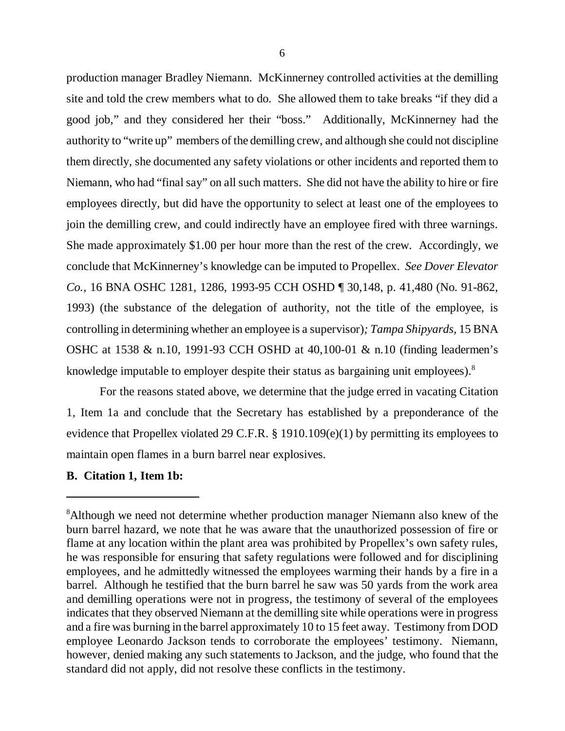production manager Bradley Niemann. McKinnerney controlled activities at the demilling site and told the crew members what to do. She allowed them to take breaks "if they did a good job," and they considered her their "boss." Additionally, McKinnerney had the authority to "write up" members of the demilling crew, and although she could not discipline them directly, she documented any safety violations or other incidents and reported them to Niemann, who had "final say" on all such matters. She did not have the ability to hire or fire employees directly, but did have the opportunity to select at least one of the employees to join the demilling crew, and could indirectly have an employee fired with three warnings. She made approximately \$1.00 per hour more than the rest of the crew. Accordingly, we conclude that McKinnerney's knowledge can be imputed to Propellex. *See Dover Elevator Co.,* 16 BNA OSHC 1281, 1286, 1993-95 CCH OSHD ¶ 30,148, p. 41,480 (No. 91-862, 1993) (the substance of the delegation of authority, not the title of the employee, is controlling in determining whether an employee is a supervisor)*; Tampa Shipyards,* 15 BNA OSHC at 1538 & n.10, 1991-93 CCH OSHD at 40,100-01 & n.10 (finding leadermen's knowledge imputable to employer despite their status as bargaining unit employees). $8$ 

For the reasons stated above, we determine that the judge erred in vacating Citation 1, Item 1a and conclude that the Secretary has established by a preponderance of the evidence that Propellex violated 29 C.F.R. § 1910.109(e)(1) by permitting its employees to maintain open flames in a burn barrel near explosives.

#### **B. Citation 1, Item 1b:**

<sup>&</sup>lt;sup>8</sup>Although we need not determine whether production manager Niemann also knew of the burn barrel hazard, we note that he was aware that the unauthorized possession of fire or flame at any location within the plant area was prohibited by Propellex's own safety rules, he was responsible for ensuring that safety regulations were followed and for disciplining employees, and he admittedly witnessed the employees warming their hands by a fire in a barrel. Although he testified that the burn barrel he saw was 50 yards from the work area and demilling operations were not in progress, the testimony of several of the employees indicates that they observed Niemann at the demilling site while operations were in progress and a fire was burning in the barrel approximately 10 to 15 feet away. Testimony from DOD employee Leonardo Jackson tends to corroborate the employees' testimony. Niemann, however, denied making any such statements to Jackson, and the judge, who found that the standard did not apply, did not resolve these conflicts in the testimony.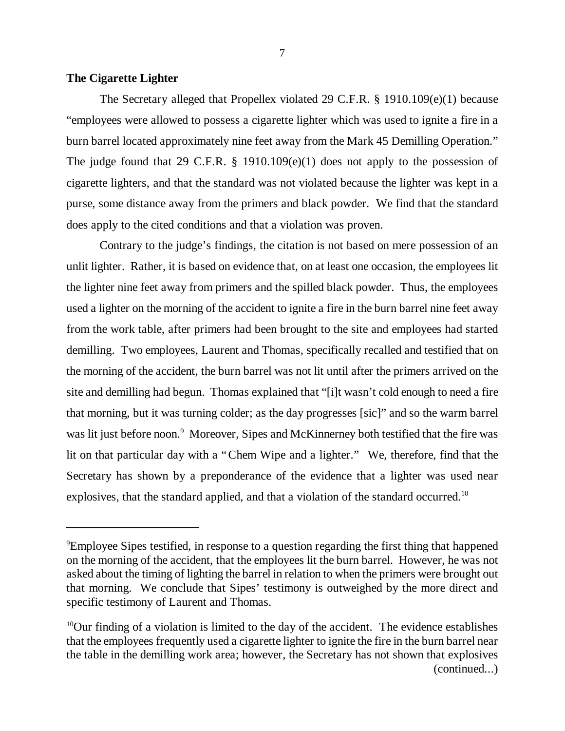## **The Cigarette Lighter**

The Secretary alleged that Propellex violated 29 C.F.R. § 1910.109(e)(1) because "employees were allowed to possess a cigarette lighter which was used to ignite a fire in a burn barrel located approximately nine feet away from the Mark 45 Demilling Operation." The judge found that 29 C.F.R. § 1910.109(e)(1) does not apply to the possession of cigarette lighters, and that the standard was not violated because the lighter was kept in a purse, some distance away from the primers and black powder. We find that the standard does apply to the cited conditions and that a violation was proven.

Contrary to the judge's findings, the citation is not based on mere possession of an unlit lighter. Rather, it is based on evidence that, on at least one occasion, the employees lit the lighter nine feet away from primers and the spilled black powder. Thus, the employees used a lighter on the morning of the accident to ignite a fire in the burn barrel nine feet away from the work table, after primers had been brought to the site and employees had started demilling. Two employees, Laurent and Thomas, specifically recalled and testified that on the morning of the accident, the burn barrel was not lit until after the primers arrived on the site and demilling had begun. Thomas explained that "[i]t wasn't cold enough to need a fire that morning, but it was turning colder; as the day progresses [sic]" and so the warm barrel was lit just before noon.<sup>9</sup> Moreover, Sipes and McKinnerney both testified that the fire was lit on that particular day with a "Chem Wipe and a lighter." We, therefore, find that the Secretary has shown by a preponderance of the evidence that a lighter was used near explosives, that the standard applied, and that a violation of the standard occurred.<sup>10</sup>

<sup>&</sup>lt;sup>9</sup>Employee Sipes testified, in response to a question regarding the first thing that happened on the morning of the accident, that the employees lit the burn barrel. However, he was not asked about the timing of lighting the barrel in relation to when the primers were brought out that morning. We conclude that Sipes' testimony is outweighed by the more direct and specific testimony of Laurent and Thomas.

 $10$ Our finding of a violation is limited to the day of the accident. The evidence establishes that the employees frequently used a cigarette lighter to ignite the fire in the burn barrel near the table in the demilling work area; however, the Secretary has not shown that explosives (continued...)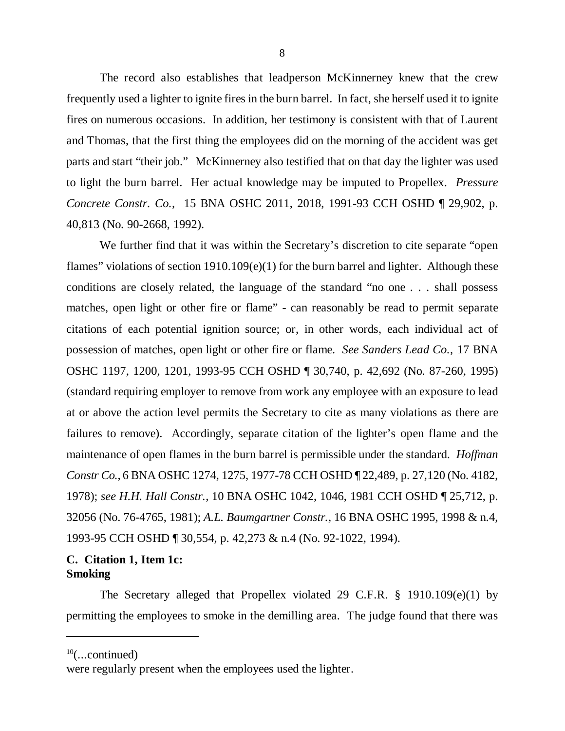The record also establishes that leadperson McKinnerney knew that the crew frequently used a lighter to ignite fires in the burn barrel. In fact, she herself used it to ignite fires on numerous occasions. In addition, her testimony is consistent with that of Laurent and Thomas, that the first thing the employees did on the morning of the accident was get parts and start "their job." McKinnerney also testified that on that day the lighter was used to light the burn barrel. Her actual knowledge may be imputed to Propellex. *Pressure Concrete Constr. Co.,* 15 BNA OSHC 2011, 2018, 1991-93 CCH OSHD ¶ 29,902, p. 40,813 (No. 90-2668, 1992).

We further find that it was within the Secretary's discretion to cite separate "open flames" violations of section 1910.109(e)(1) for the burn barrel and lighter. Although these conditions are closely related, the language of the standard "no one . . . shall possess matches, open light or other fire or flame" - can reasonably be read to permit separate citations of each potential ignition source; or, in other words, each individual act of possession of matches, open light or other fire or flame. *See Sanders Lead Co.,* 17 BNA OSHC 1197, 1200, 1201, 1993-95 CCH OSHD ¶ 30,740, p. 42,692 (No. 87-260, 1995) (standard requiring employer to remove from work any employee with an exposure to lead at or above the action level permits the Secretary to cite as many violations as there are failures to remove). Accordingly, separate citation of the lighter's open flame and the maintenance of open flames in the burn barrel is permissible under the standard. *Hoffman Constr Co.,* 6 BNA OSHC 1274, 1275, 1977-78 CCH OSHD ¶ 22,489, p. 27,120 (No. 4182, 1978); *see H.H. Hall Constr.,* 10 BNA OSHC 1042, 1046, 1981 CCH OSHD ¶ 25,712, p. 32056 (No. 76-4765, 1981); *A.L. Baumgartner Constr.,* 16 BNA OSHC 1995, 1998 & n.4, 1993-95 CCH OSHD ¶ 30,554, p. 42,273 & n.4 (No. 92-1022, 1994).

# **C. Citation 1, Item 1c: Smoking**

The Secretary alleged that Propellex violated 29 C.F.R. § 1910.109(e)(1) by permitting the employees to smoke in the demilling area. The judge found that there was

 $10$ (...continued)

were regularly present when the employees used the lighter.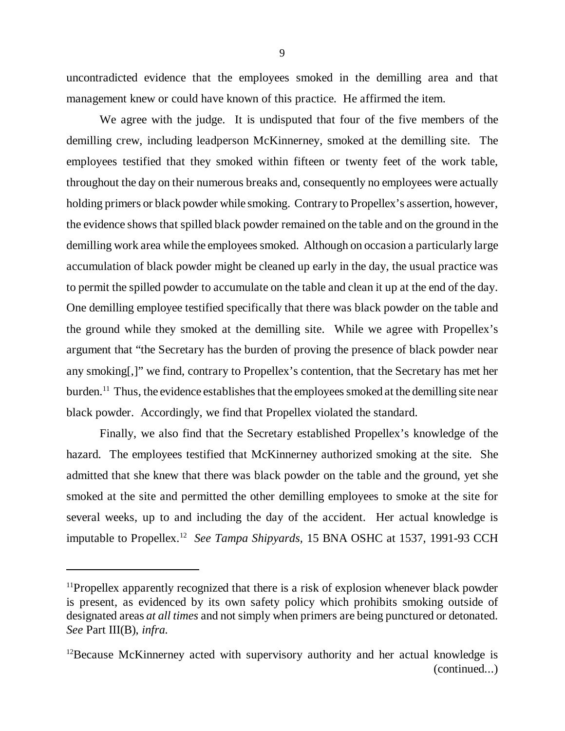uncontradicted evidence that the employees smoked in the demilling area and that management knew or could have known of this practice. He affirmed the item.

We agree with the judge. It is undisputed that four of the five members of the demilling crew, including leadperson McKinnerney, smoked at the demilling site. The employees testified that they smoked within fifteen or twenty feet of the work table, throughout the day on their numerous breaks and, consequently no employees were actually holding primers or black powder while smoking. Contrary to Propellex's assertion, however, the evidence shows that spilled black powder remained on the table and on the ground in the demilling work area while the employees smoked. Although on occasion a particularly large accumulation of black powder might be cleaned up early in the day, the usual practice was to permit the spilled powder to accumulate on the table and clean it up at the end of the day. One demilling employee testified specifically that there was black powder on the table and the ground while they smoked at the demilling site. While we agree with Propellex's argument that "the Secretary has the burden of proving the presence of black powder near any smoking[,]" we find, contrary to Propellex's contention, that the Secretary has met her burden.<sup>11</sup> Thus, the evidence establishes that the employees smoked at the demilling site near black powder. Accordingly, we find that Propellex violated the standard.

Finally, we also find that the Secretary established Propellex's knowledge of the hazard. The employees testified that McKinnerney authorized smoking at the site. She admitted that she knew that there was black powder on the table and the ground, yet she smoked at the site and permitted the other demilling employees to smoke at the site for several weeks, up to and including the day of the accident. Her actual knowledge is imputable to Propellex.<sup>12</sup> *See Tampa Shipyards,* 15 BNA OSHC at 1537, 1991-93 CCH

<sup>&</sup>lt;sup>11</sup>Propellex apparently recognized that there is a risk of explosion whenever black powder is present, as evidenced by its own safety policy which prohibits smoking outside of designated areas *at all times* and not simply when primers are being punctured or detonated. *See* Part III(B), *infra.*

 $12$ Because McKinnerney acted with supervisory authority and her actual knowledge is (continued...)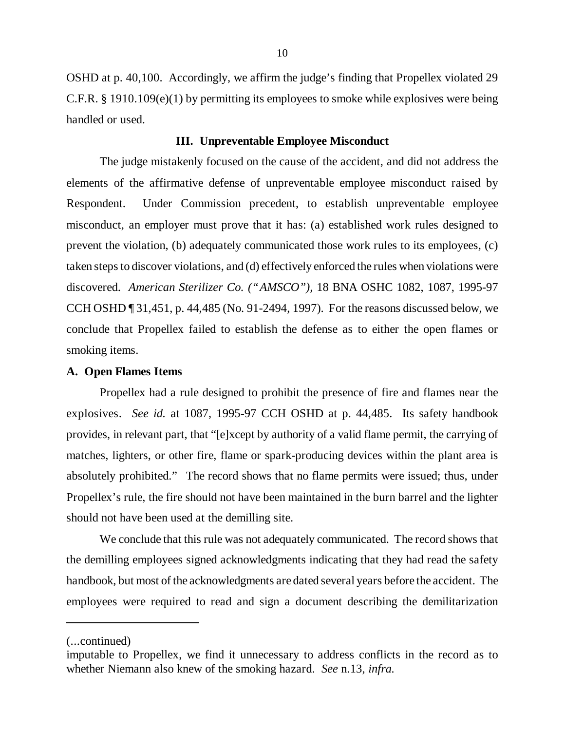OSHD at p. 40,100. Accordingly, we affirm the judge's finding that Propellex violated 29 C.F.R. § 1910.109(e)(1) by permitting its employees to smoke while explosives were being handled or used.

### **III. Unpreventable Employee Misconduct**

The judge mistakenly focused on the cause of the accident, and did not address the elements of the affirmative defense of unpreventable employee misconduct raised by Respondent. Under Commission precedent, to establish unpreventable employee misconduct, an employer must prove that it has: (a) established work rules designed to prevent the violation, (b) adequately communicated those work rules to its employees, (c) taken steps to discover violations, and (d) effectively enforced the rules when violations were discovered. *American Sterilizer Co. ("AMSCO"),* 18 BNA OSHC 1082, 1087, 1995-97 CCH OSHD ¶ 31,451, p. 44,485 (No. 91-2494, 1997). For the reasons discussed below, we conclude that Propellex failed to establish the defense as to either the open flames or smoking items.

### **A. Open Flames Items**

Propellex had a rule designed to prohibit the presence of fire and flames near the explosives. *See id.* at 1087, 1995-97 CCH OSHD at p. 44,485. Its safety handbook provides, in relevant part, that "[e]xcept by authority of a valid flame permit, the carrying of matches, lighters, or other fire, flame or spark-producing devices within the plant area is absolutely prohibited." The record shows that no flame permits were issued; thus, under Propellex's rule, the fire should not have been maintained in the burn barrel and the lighter should not have been used at the demilling site.

We conclude that this rule was not adequately communicated. The record shows that the demilling employees signed acknowledgments indicating that they had read the safety handbook, but most of the acknowledgments are dated several years before the accident. The employees were required to read and sign a document describing the demilitarization

<sup>(...</sup>continued)

imputable to Propellex, we find it unnecessary to address conflicts in the record as to whether Niemann also knew of the smoking hazard. *See* n.13, *infra.*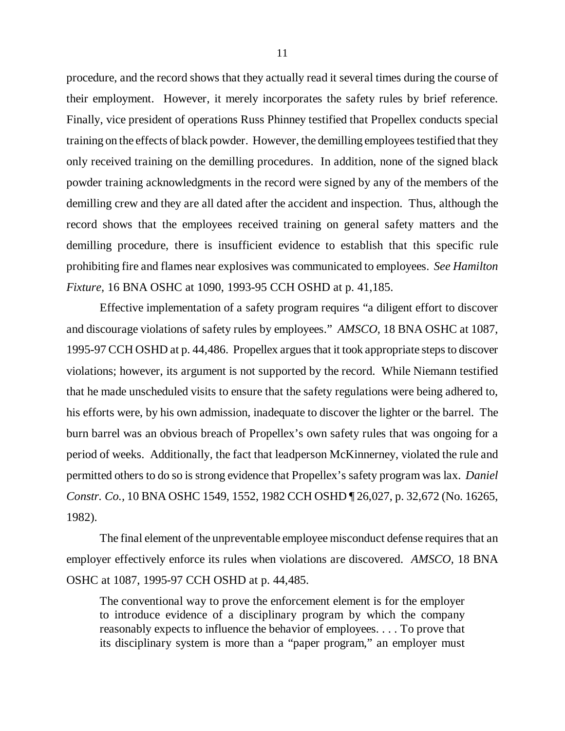procedure, and the record shows that they actually read it several times during the course of their employment. However, it merely incorporates the safety rules by brief reference. Finally, vice president of operations Russ Phinney testified that Propellex conducts special training on the effects of black powder. However, the demilling employees testified that they only received training on the demilling procedures. In addition, none of the signed black powder training acknowledgments in the record were signed by any of the members of the demilling crew and they are all dated after the accident and inspection. Thus, although the record shows that the employees received training on general safety matters and the demilling procedure, there is insufficient evidence to establish that this specific rule prohibiting fire and flames near explosives was communicated to employees. *See Hamilton Fixture,* 16 BNA OSHC at 1090, 1993-95 CCH OSHD at p. 41,185.

Effective implementation of a safety program requires "a diligent effort to discover and discourage violations of safety rules by employees." *AMSCO,* 18 BNA OSHC at 1087, 1995-97 CCH OSHD at p. 44,486. Propellex argues that it took appropriate steps to discover violations; however, its argument is not supported by the record. While Niemann testified that he made unscheduled visits to ensure that the safety regulations were being adhered to, his efforts were, by his own admission, inadequate to discover the lighter or the barrel. The burn barrel was an obvious breach of Propellex's own safety rules that was ongoing for a period of weeks. Additionally, the fact that leadperson McKinnerney, violated the rule and permitted others to do so is strong evidence that Propellex's safety program was lax. *Daniel Constr. Co.,* 10 BNA OSHC 1549, 1552, 1982 CCH OSHD ¶ 26,027, p. 32,672 (No. 16265, 1982).

The final element of the unpreventable employee misconduct defense requires that an employer effectively enforce its rules when violations are discovered. *AMSCO,* 18 BNA OSHC at 1087, 1995-97 CCH OSHD at p. 44,485.

The conventional way to prove the enforcement element is for the employer to introduce evidence of a disciplinary program by which the company reasonably expects to influence the behavior of employees. . . . To prove that its disciplinary system is more than a "paper program," an employer must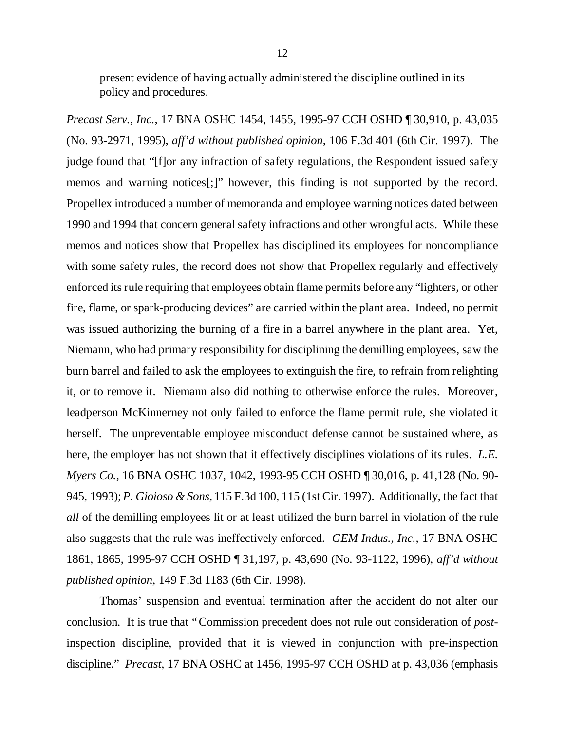present evidence of having actually administered the discipline outlined in its policy and procedures.

*Precast Serv., Inc.,* 17 BNA OSHC 1454, 1455, 1995-97 CCH OSHD ¶ 30,910, p. 43,035 (No. 93-2971, 1995), *aff'd without published opinion,* 106 F.3d 401 (6th Cir. 1997). The judge found that "[f]or any infraction of safety regulations, the Respondent issued safety memos and warning notices[;]" however, this finding is not supported by the record. Propellex introduced a number of memoranda and employee warning notices dated between 1990 and 1994 that concern general safety infractions and other wrongful acts. While these memos and notices show that Propellex has disciplined its employees for noncompliance with some safety rules, the record does not show that Propellex regularly and effectively enforced its rule requiring that employees obtain flame permits before any "lighters, or other fire, flame, or spark-producing devices" are carried within the plant area. Indeed, no permit was issued authorizing the burning of a fire in a barrel anywhere in the plant area. Yet, Niemann, who had primary responsibility for disciplining the demilling employees, saw the burn barrel and failed to ask the employees to extinguish the fire, to refrain from relighting it, or to remove it. Niemann also did nothing to otherwise enforce the rules. Moreover, leadperson McKinnerney not only failed to enforce the flame permit rule, she violated it herself. The unpreventable employee misconduct defense cannot be sustained where, as here, the employer has not shown that it effectively disciplines violations of its rules. *L.E. Myers Co.,* 16 BNA OSHC 1037, 1042, 1993-95 CCH OSHD ¶ 30,016, p. 41,128 (No. 90- 945, 1993); *P. Gioioso & Sons,* 115 F.3d 100, 115 (1st Cir. 1997). Additionally, the fact that *all* of the demilling employees lit or at least utilized the burn barrel in violation of the rule also suggests that the rule was ineffectively enforced. *GEM Indus., Inc.,* 17 BNA OSHC 1861, 1865, 1995-97 CCH OSHD ¶ 31,197, p. 43,690 (No. 93-1122, 1996), *aff'd without published opinion,* 149 F.3d 1183 (6th Cir. 1998).

Thomas' suspension and eventual termination after the accident do not alter our conclusion. It is true that "Commission precedent does not rule out consideration of *post*inspection discipline, provided that it is viewed in conjunction with pre-inspection discipline." *Precast,* 17 BNA OSHC at 1456, 1995-97 CCH OSHD at p. 43,036 (emphasis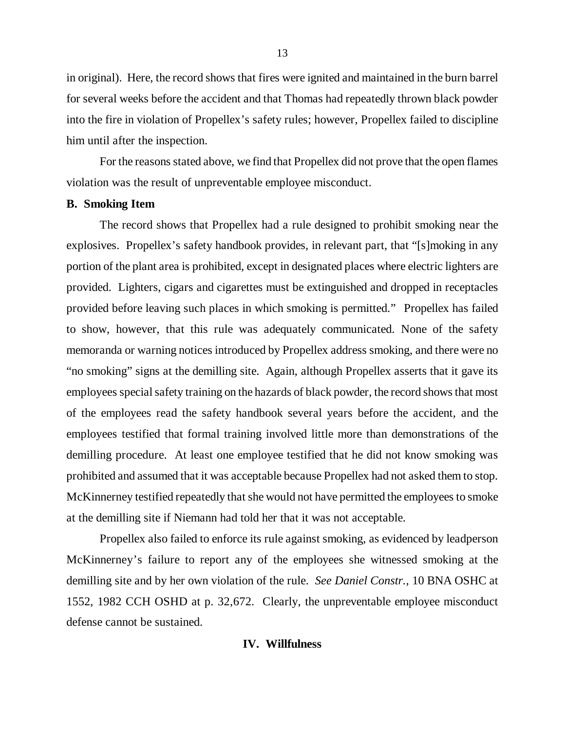in original). Here, the record shows that fires were ignited and maintained in the burn barrel for several weeks before the accident and that Thomas had repeatedly thrown black powder into the fire in violation of Propellex's safety rules; however, Propellex failed to discipline him until after the inspection.

For the reasons stated above, we find that Propellex did not prove that the open flames violation was the result of unpreventable employee misconduct.

### **B. Smoking Item**

The record shows that Propellex had a rule designed to prohibit smoking near the explosives. Propellex's safety handbook provides, in relevant part, that "[s]moking in any portion of the plant area is prohibited, except in designated places where electric lighters are provided. Lighters, cigars and cigarettes must be extinguished and dropped in receptacles provided before leaving such places in which smoking is permitted." Propellex has failed to show, however, that this rule was adequately communicated. None of the safety memoranda or warning notices introduced by Propellex address smoking, and there were no "no smoking" signs at the demilling site. Again, although Propellex asserts that it gave its employees special safety training on the hazards of black powder, the record shows that most of the employees read the safety handbook several years before the accident, and the employees testified that formal training involved little more than demonstrations of the demilling procedure. At least one employee testified that he did not know smoking was prohibited and assumed that it was acceptable because Propellex had not asked them to stop. McKinnerney testified repeatedly that she would not have permitted the employees to smoke at the demilling site if Niemann had told her that it was not acceptable.

Propellex also failed to enforce its rule against smoking, as evidenced by leadperson McKinnerney's failure to report any of the employees she witnessed smoking at the demilling site and by her own violation of the rule. *See Daniel Constr.,* 10 BNA OSHC at 1552, 1982 CCH OSHD at p. 32,672. Clearly, the unpreventable employee misconduct defense cannot be sustained.

### **IV. Willfulness**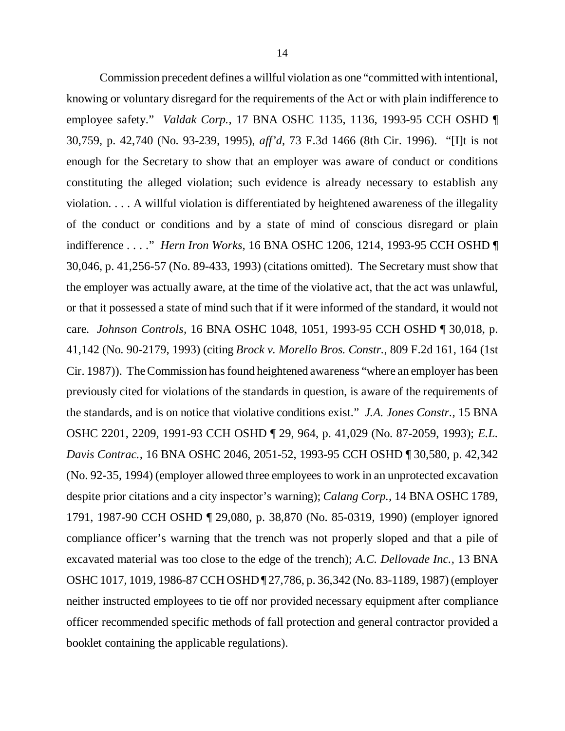Commission precedent defines a willful violation as one "committed with intentional, knowing or voluntary disregard for the requirements of the Act or with plain indifference to employee safety." *Valdak Corp.,* 17 BNA OSHC 1135, 1136, 1993-95 CCH OSHD ¶ 30,759, p. 42,740 (No. 93-239, 1995), *aff'd,* 73 F.3d 1466 (8th Cir. 1996). "[I]t is not enough for the Secretary to show that an employer was aware of conduct or conditions constituting the alleged violation; such evidence is already necessary to establish any violation. . . . A willful violation is differentiated by heightened awareness of the illegality of the conduct or conditions and by a state of mind of conscious disregard or plain indifference . . . ." *Hern Iron Works,* 16 BNA OSHC 1206, 1214, 1993-95 CCH OSHD ¶ 30,046, p. 41,256-57 (No. 89-433, 1993) (citations omitted). The Secretary must show that the employer was actually aware, at the time of the violative act, that the act was unlawful, or that it possessed a state of mind such that if it were informed of the standard, it would not care. *Johnson Controls,* 16 BNA OSHC 1048, 1051, 1993-95 CCH OSHD ¶ 30,018, p. 41,142 (No. 90-2179, 1993) (citing *Brock v. Morello Bros. Constr.*, 809 F.2d 161, 164 (1st Cir. 1987)). The Commission has found heightened awareness "where an employer has been previously cited for violations of the standards in question, is aware of the requirements of the standards, and is on notice that violative conditions exist." *J.A. Jones Constr.,* 15 BNA OSHC 2201, 2209, 1991-93 CCH OSHD ¶ 29, 964, p. 41,029 (No. 87-2059, 1993); *E.L. Davis Contrac.,* 16 BNA OSHC 2046, 2051-52, 1993-95 CCH OSHD ¶ 30,580, p. 42,342 (No. 92-35, 1994) (employer allowed three employees to work in an unprotected excavation despite prior citations and a city inspector's warning); *Calang Corp.,* 14 BNA OSHC 1789, 1791, 1987-90 CCH OSHD ¶ 29,080, p. 38,870 (No. 85-0319, 1990) (employer ignored compliance officer's warning that the trench was not properly sloped and that a pile of excavated material was too close to the edge of the trench); *A.C. Dellovade Inc.,* 13 BNA OSHC 1017, 1019, 1986-87 CCH OSHD ¶ 27,786, p. 36,342 (No. 83-1189, 1987) (employer neither instructed employees to tie off nor provided necessary equipment after compliance officer recommended specific methods of fall protection and general contractor provided a booklet containing the applicable regulations).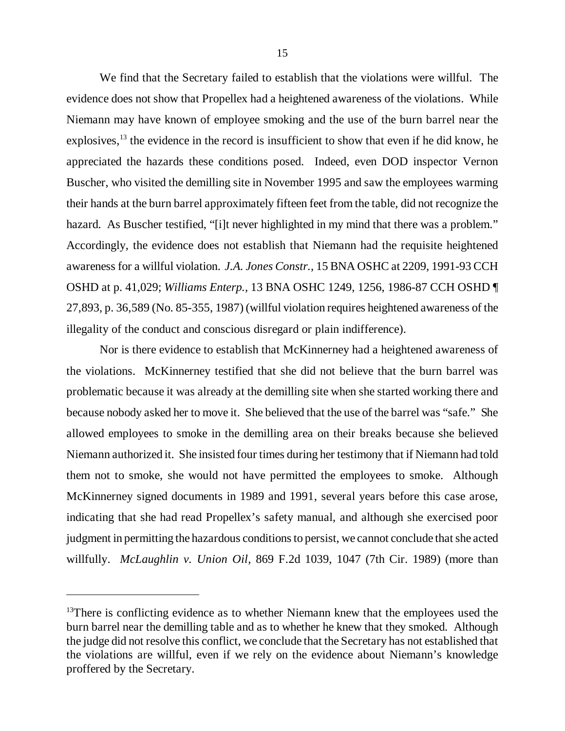We find that the Secretary failed to establish that the violations were willful. The evidence does not show that Propellex had a heightened awareness of the violations. While Niemann may have known of employee smoking and the use of the burn barrel near the explosives,<sup>13</sup> the evidence in the record is insufficient to show that even if he did know, he appreciated the hazards these conditions posed. Indeed, even DOD inspector Vernon Buscher, who visited the demilling site in November 1995 and saw the employees warming their hands at the burn barrel approximately fifteen feet from the table, did not recognize the hazard. As Buscher testified, "[i]t never highlighted in my mind that there was a problem." Accordingly, the evidence does not establish that Niemann had the requisite heightened awareness for a willful violation. *J.A. Jones Constr.,* 15 BNA OSHC at 2209, 1991-93 CCH OSHD at p. 41,029; *Williams Enterp.,* 13 BNA OSHC 1249, 1256, 1986-87 CCH OSHD ¶ 27,893, p. 36,589 (No. 85-355, 1987) (willful violation requires heightened awareness of the illegality of the conduct and conscious disregard or plain indifference).

Nor is there evidence to establish that McKinnerney had a heightened awareness of the violations. McKinnerney testified that she did not believe that the burn barrel was problematic because it was already at the demilling site when she started working there and because nobody asked her to move it. She believed that the use of the barrel was "safe." She allowed employees to smoke in the demilling area on their breaks because she believed Niemann authorized it. She insisted four times during her testimony that if Niemann had told them not to smoke, she would not have permitted the employees to smoke. Although McKinnerney signed documents in 1989 and 1991, several years before this case arose, indicating that she had read Propellex's safety manual, and although she exercised poor judgment in permitting the hazardous conditions to persist, we cannot conclude that she acted willfully. *McLaughlin v. Union Oil,* 869 F.2d 1039, 1047 (7th Cir. 1989) (more than

 $13$ There is conflicting evidence as to whether Niemann knew that the employees used the burn barrel near the demilling table and as to whether he knew that they smoked. Although the judge did not resolve this conflict, we conclude that the Secretary has not established that the violations are willful, even if we rely on the evidence about Niemann's knowledge proffered by the Secretary.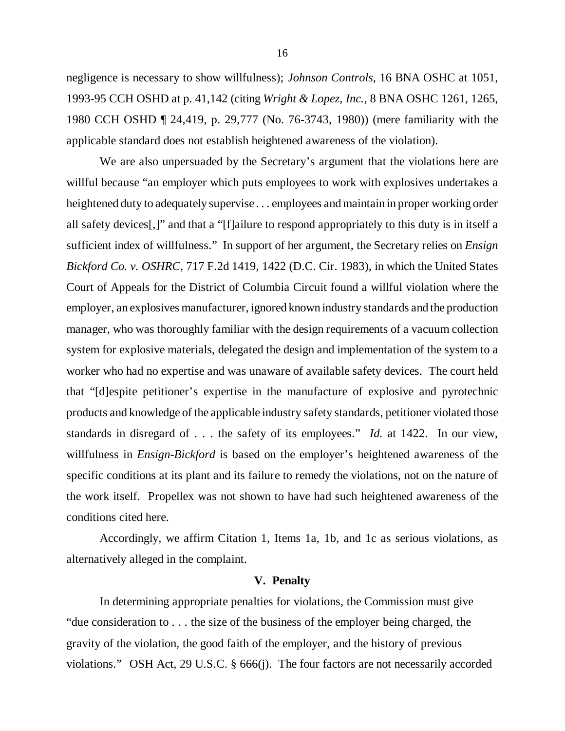negligence is necessary to show willfulness); *Johnson Controls,* 16 BNA OSHC at 1051, 1993-95 CCH OSHD at p. 41,142 (citing *Wright & Lopez, Inc.,* 8 BNA OSHC 1261, 1265, 1980 CCH OSHD ¶ 24,419, p. 29,777 (No. 76-3743, 1980)) (mere familiarity with the applicable standard does not establish heightened awareness of the violation).

We are also unpersuaded by the Secretary's argument that the violations here are willful because "an employer which puts employees to work with explosives undertakes a heightened duty to adequately supervise . . . employees and maintain in proper working order all safety devices[,]" and that a "[f]ailure to respond appropriately to this duty is in itself a sufficient index of willfulness." In support of her argument, the Secretary relies on *Ensign Bickford Co. v. OSHRC,* 717 F.2d 1419, 1422 (D.C. Cir. 1983), in which the United States Court of Appeals for the District of Columbia Circuit found a willful violation where the employer, an explosives manufacturer, ignored known industry standards and the production manager, who was thoroughly familiar with the design requirements of a vacuum collection system for explosive materials, delegated the design and implementation of the system to a worker who had no expertise and was unaware of available safety devices. The court held that "[d]espite petitioner's expertise in the manufacture of explosive and pyrotechnic products and knowledge of the applicable industry safety standards, petitioner violated those standards in disregard of . . . the safety of its employees." *Id.* at 1422. In our view, willfulness in *Ensign-Bickford* is based on the employer's heightened awareness of the specific conditions at its plant and its failure to remedy the violations, not on the nature of the work itself. Propellex was not shown to have had such heightened awareness of the conditions cited here.

Accordingly, we affirm Citation 1, Items 1a, 1b, and 1c as serious violations, as alternatively alleged in the complaint.

#### **V. Penalty**

In determining appropriate penalties for violations, the Commission must give "due consideration to . . . the size of the business of the employer being charged, the gravity of the violation, the good faith of the employer, and the history of previous violations." OSH Act, 29 U.S.C. § 666(j). The four factors are not necessarily accorded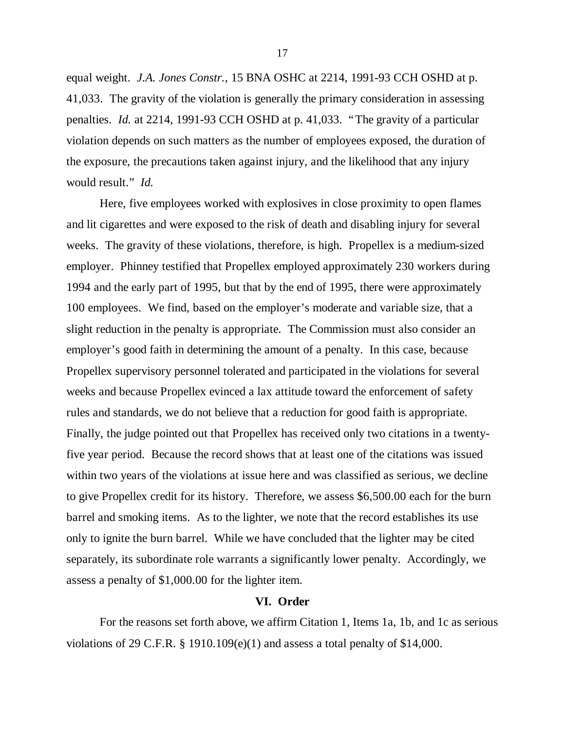equal weight. *J.A. Jones Constr.,* 15 BNA OSHC at 2214, 1991-93 CCH OSHD at p. 41,033. The gravity of the violation is generally the primary consideration in assessing penalties. *Id.* at 2214, 1991-93 CCH OSHD at p. 41,033. "The gravity of a particular violation depends on such matters as the number of employees exposed, the duration of the exposure, the precautions taken against injury, and the likelihood that any injury would result." *Id.*

Here, five employees worked with explosives in close proximity to open flames and lit cigarettes and were exposed to the risk of death and disabling injury for several weeks. The gravity of these violations, therefore, is high. Propellex is a medium-sized employer. Phinney testified that Propellex employed approximately 230 workers during 1994 and the early part of 1995, but that by the end of 1995, there were approximately 100 employees. We find, based on the employer's moderate and variable size, that a slight reduction in the penalty is appropriate. The Commission must also consider an employer's good faith in determining the amount of a penalty. In this case, because Propellex supervisory personnel tolerated and participated in the violations for several weeks and because Propellex evinced a lax attitude toward the enforcement of safety rules and standards, we do not believe that a reduction for good faith is appropriate. Finally, the judge pointed out that Propellex has received only two citations in a twentyfive year period. Because the record shows that at least one of the citations was issued within two years of the violations at issue here and was classified as serious, we decline to give Propellex credit for its history. Therefore, we assess \$6,500.00 each for the burn barrel and smoking items. As to the lighter, we note that the record establishes its use only to ignite the burn barrel. While we have concluded that the lighter may be cited separately, its subordinate role warrants a significantly lower penalty. Accordingly, we assess a penalty of \$1,000.00 for the lighter item.

#### **VI. Order**

For the reasons set forth above, we affirm Citation 1, Items 1a, 1b, and 1c as serious violations of 29 C.F.R.  $\S$  1910.109(e)(1) and assess a total penalty of \$14,000.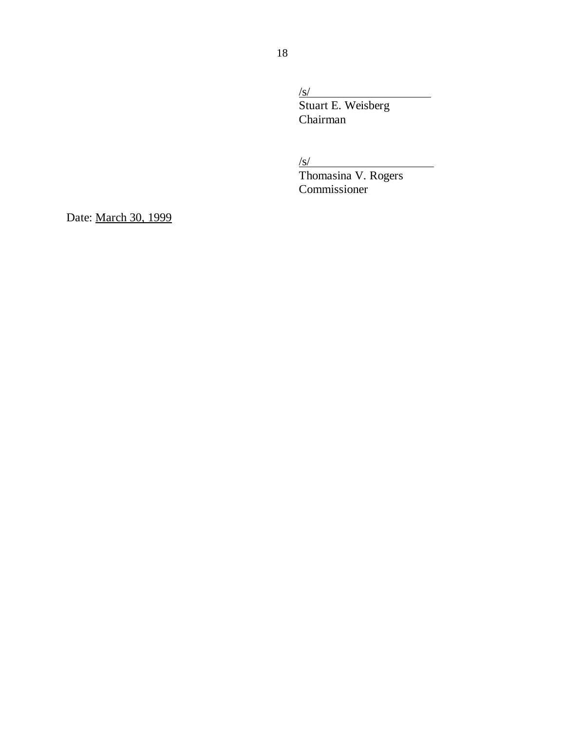/s/ Stuart E. Weisberg Chairman

/s/

Thomasina V. Rogers Commissioner

Date: March 30, 1999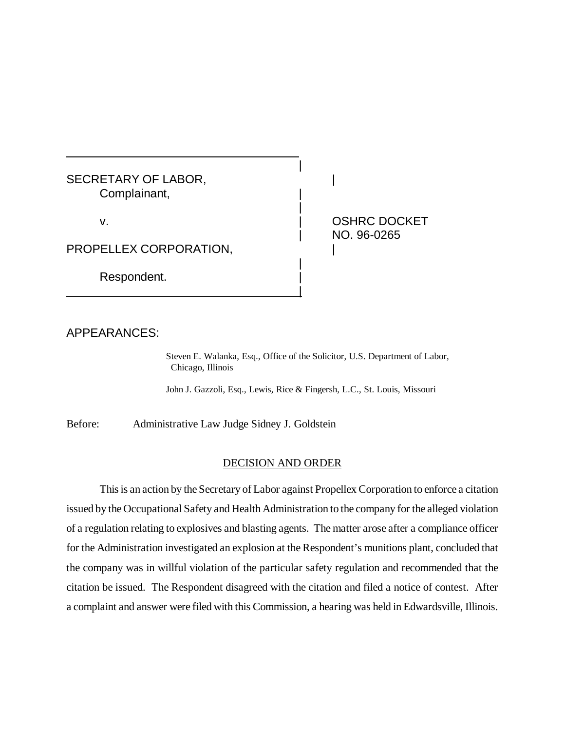SECRETARY OF LABOR, NAMEL CONSIDER A SECRETARY OF LABOR, Complainant, |

PROPELLEX CORPORATION,

|

Respondent.

v. | OSHRC DOCKET | NO. 96-0265

## APPEARANCES:

Steven E. Walanka, Esq., Office of the Solicitor, U.S. Department of Labor, Chicago, Illinois

John J. Gazzoli, Esq., Lewis, Rice & Fingersh, L.C., St. Louis, Missouri

|

|

|

Before: Administrative Law Judge Sidney J. Goldstein

#### DECISION AND ORDER

This is an action by the Secretary of Labor against Propellex Corporation to enforce a citation issued by the Occupational Safety and Health Administration to the company for the alleged violation of a regulation relating to explosives and blasting agents. The matter arose after a compliance officer for the Administration investigated an explosion at the Respondent's munitions plant, concluded that the company was in willful violation of the particular safety regulation and recommended that the citation be issued. The Respondent disagreed with the citation and filed a notice of contest. After a complaint and answer were filed with this Commission, a hearing was held in Edwardsville, Illinois.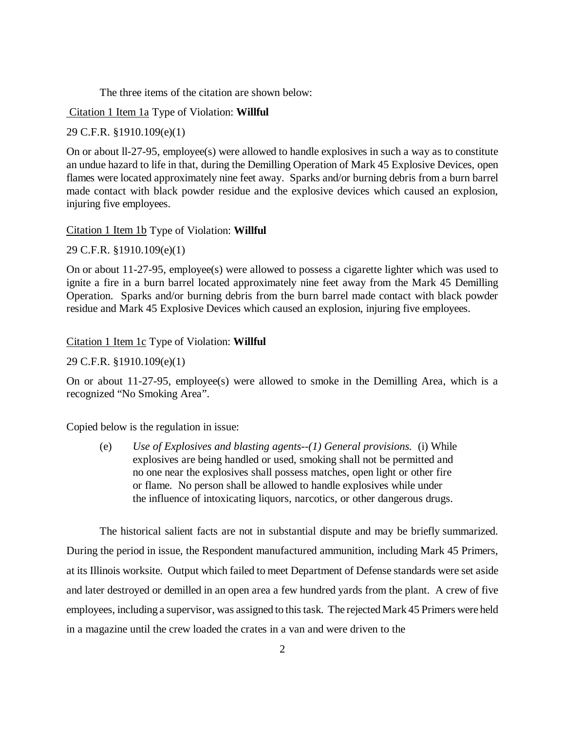The three items of the citation are shown below:

Citation 1 Item 1a Type of Violation: **Willful**

29 C.F.R. §1910.109(e)(1)

On or about ll-27-95, employee(s) were allowed to handle explosives in such a way as to constitute an undue hazard to life in that, during the Demilling Operation of Mark 45 Explosive Devices, open flames were located approximately nine feet away. Sparks and/or burning debris from a burn barrel made contact with black powder residue and the explosive devices which caused an explosion, injuring five employees.

Citation 1 Item 1b Type of Violation: **Willful**

29 C.F.R. §1910.109(e)(1)

On or about 11-27-95, employee(s) were allowed to possess a cigarette lighter which was used to ignite a fire in a burn barrel located approximately nine feet away from the Mark 45 Demilling Operation. Sparks and/or burning debris from the burn barrel made contact with black powder residue and Mark 45 Explosive Devices which caused an explosion, injuring five employees.

Citation 1 Item 1c Type of Violation: **Willful**

29 C.F.R. §1910.109(e)(1)

On or about 11-27-95, employee(s) were allowed to smoke in the Demilling Area, which is a recognized "No Smoking Area".

Copied below is the regulation in issue:

(e) *Use of Explosives and blasting agents--(1) General provisions.* (i) While explosives are being handled or used, smoking shall not be permitted and no one near the explosives shall possess matches, open light or other fire or flame. No person shall be allowed to handle explosives while under the influence of intoxicating liquors, narcotics, or other dangerous drugs.

The historical salient facts are not in substantial dispute and may be briefly summarized. During the period in issue, the Respondent manufactured ammunition, including Mark 45 Primers, at its Illinois worksite. Output which failed to meet Department of Defense standards were set aside and later destroyed or demilled in an open area a few hundred yards from the plant. A crew of five employees, including a supervisor, was assigned to this task. The rejected Mark 45 Primers were held in a magazine until the crew loaded the crates in a van and were driven to the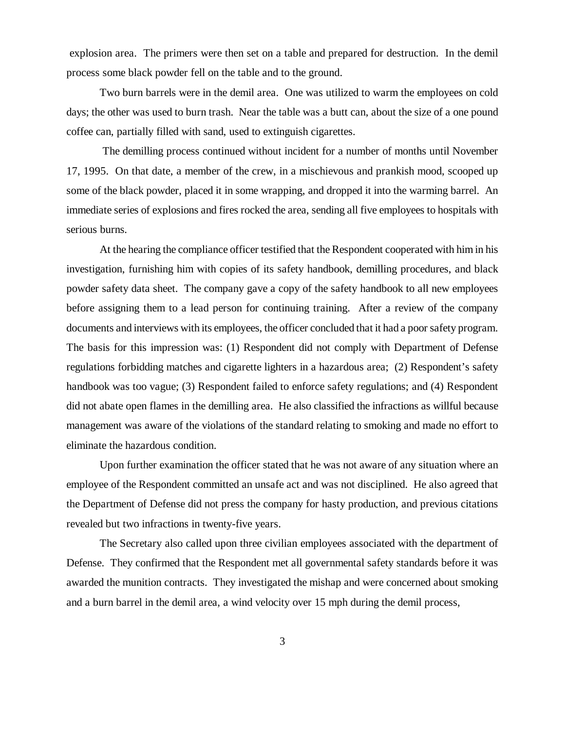explosion area. The primers were then set on a table and prepared for destruction. In the demil process some black powder fell on the table and to the ground.

Two burn barrels were in the demil area. One was utilized to warm the employees on cold days; the other was used to burn trash. Near the table was a butt can, about the size of a one pound coffee can, partially filled with sand, used to extinguish cigarettes.

 The demilling process continued without incident for a number of months until November 17, 1995. On that date, a member of the crew, in a mischievous and prankish mood, scooped up some of the black powder, placed it in some wrapping, and dropped it into the warming barrel. An immediate series of explosions and fires rocked the area, sending all five employees to hospitals with serious burns.

At the hearing the compliance officer testified that the Respondent cooperated with him in his investigation, furnishing him with copies of its safety handbook, demilling procedures, and black powder safety data sheet. The company gave a copy of the safety handbook to all new employees before assigning them to a lead person for continuing training. After a review of the company documents and interviews with its employees, the officer concluded that it had a poor safety program. The basis for this impression was: (1) Respondent did not comply with Department of Defense regulations forbidding matches and cigarette lighters in a hazardous area; (2) Respondent's safety handbook was too vague; (3) Respondent failed to enforce safety regulations; and (4) Respondent did not abate open flames in the demilling area. He also classified the infractions as willful because management was aware of the violations of the standard relating to smoking and made no effort to eliminate the hazardous condition.

Upon further examination the officer stated that he was not aware of any situation where an employee of the Respondent committed an unsafe act and was not disciplined. He also agreed that the Department of Defense did not press the company for hasty production, and previous citations revealed but two infractions in twenty-five years.

The Secretary also called upon three civilian employees associated with the department of Defense. They confirmed that the Respondent met all governmental safety standards before it was awarded the munition contracts. They investigated the mishap and were concerned about smoking and a burn barrel in the demil area, a wind velocity over 15 mph during the demil process,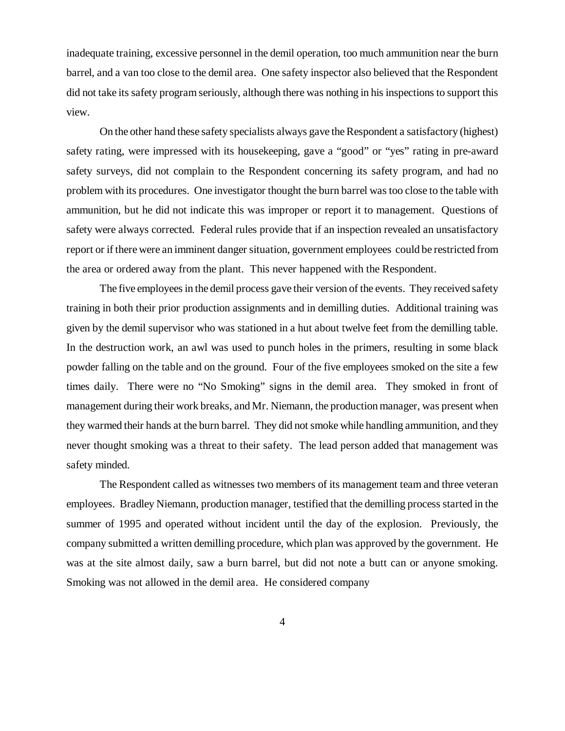inadequate training, excessive personnel in the demil operation, too much ammunition near the burn barrel, and a van too close to the demil area. One safety inspector also believed that the Respondent did not take its safety program seriously, although there was nothing in his inspections to support this view.

On the other hand these safety specialists always gave the Respondent a satisfactory (highest) safety rating, were impressed with its housekeeping, gave a "good" or "yes" rating in pre-award safety surveys, did not complain to the Respondent concerning its safety program, and had no problem with its procedures. One investigator thought the burn barrel was too close to the table with ammunition, but he did not indicate this was improper or report it to management. Questions of safety were always corrected. Federal rules provide that if an inspection revealed an unsatisfactory report or if there were an imminent danger situation, government employees could be restricted from the area or ordered away from the plant. This never happened with the Respondent.

The five employees in the demil process gave their version of the events. They received safety training in both their prior production assignments and in demilling duties. Additional training was given by the demil supervisor who was stationed in a hut about twelve feet from the demilling table. In the destruction work, an awl was used to punch holes in the primers, resulting in some black powder falling on the table and on the ground. Four of the five employees smoked on the site a few times daily. There were no "No Smoking" signs in the demil area. They smoked in front of management during their work breaks, and Mr. Niemann, the production manager, was present when they warmed their hands at the burn barrel. They did not smoke while handling ammunition, and they never thought smoking was a threat to their safety. The lead person added that management was safety minded.

The Respondent called as witnesses two members of its management team and three veteran employees. Bradley Niemann, production manager, testified that the demilling process started in the summer of 1995 and operated without incident until the day of the explosion. Previously, the company submitted a written demilling procedure, which plan was approved by the government. He was at the site almost daily, saw a burn barrel, but did not note a butt can or anyone smoking. Smoking was not allowed in the demil area. He considered company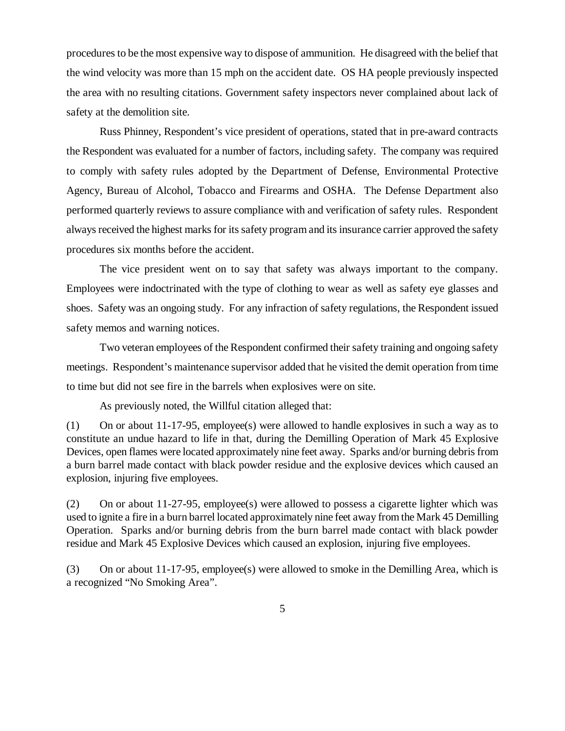procedures to be the most expensive way to dispose of ammunition. He disagreed with the belief that the wind velocity was more than 15 mph on the accident date. OS HA people previously inspected the area with no resulting citations. Government safety inspectors never complained about lack of safety at the demolition site.

Russ Phinney, Respondent's vice president of operations, stated that in pre-award contracts the Respondent was evaluated for a number of factors, including safety. The company was required to comply with safety rules adopted by the Department of Defense, Environmental Protective Agency, Bureau of Alcohol, Tobacco and Firearms and OSHA. The Defense Department also performed quarterly reviews to assure compliance with and verification of safety rules. Respondent always received the highest marks for its safety program and its insurance carrier approved the safety procedures six months before the accident.

The vice president went on to say that safety was always important to the company. Employees were indoctrinated with the type of clothing to wear as well as safety eye glasses and shoes. Safety was an ongoing study. For any infraction of safety regulations, the Respondent issued safety memos and warning notices.

Two veteran employees of the Respondent confirmed their safety training and ongoing safety meetings. Respondent's maintenance supervisor added that he visited the demit operation from time to time but did not see fire in the barrels when explosives were on site.

As previously noted, the Willful citation alleged that:

(1) On or about 11-17-95, employee(s) were allowed to handle explosives in such a way as to constitute an undue hazard to life in that, during the Demilling Operation of Mark 45 Explosive Devices, open flames were located approximately nine feet away. Sparks and/or burning debris from a burn barrel made contact with black powder residue and the explosive devices which caused an explosion, injuring five employees.

(2) On or about 11-27-95, employee(s) were allowed to possess a cigarette lighter which was used to ignite a fire in a burn barrel located approximately nine feet away from the Mark 45 Demilling Operation. Sparks and/or burning debris from the burn barrel made contact with black powder residue and Mark 45 Explosive Devices which caused an explosion, injuring five employees.

(3) On or about 11-17-95, employee(s) were allowed to smoke in the Demilling Area, which is a recognized "No Smoking Area".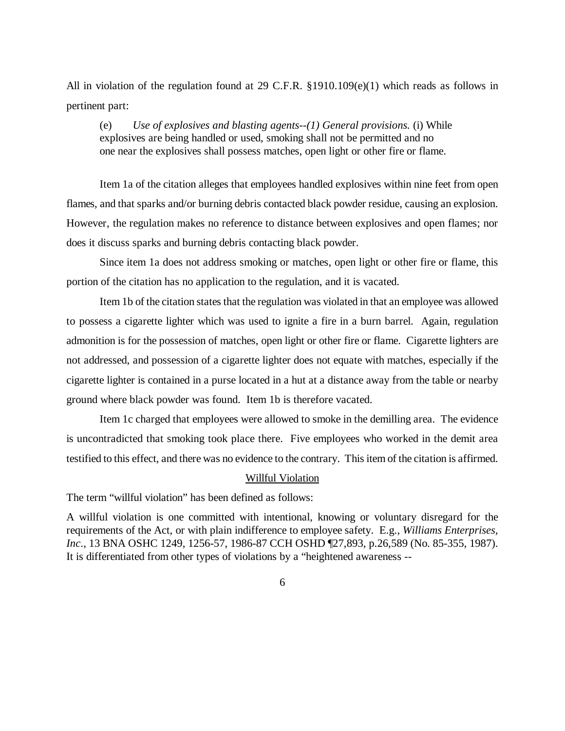All in violation of the regulation found at 29 C.F.R. §1910.109(e)(1) which reads as follows in pertinent part:

(e) *Use of explosives and blasting agents--(1) General provisions.* (i) While explosives are being handled or used, smoking shall not be permitted and no one near the explosives shall possess matches, open light or other fire or flame.

Item 1a of the citation alleges that employees handled explosives within nine feet from open flames, and that sparks and/or burning debris contacted black powder residue, causing an explosion. However, the regulation makes no reference to distance between explosives and open flames; nor does it discuss sparks and burning debris contacting black powder.

Since item 1a does not address smoking or matches, open light or other fire or flame, this portion of the citation has no application to the regulation, and it is vacated.

Item 1b of the citation states that the regulation was violated in that an employee was allowed to possess a cigarette lighter which was used to ignite a fire in a burn barrel. Again, regulation admonition is for the possession of matches, open light or other fire or flame. Cigarette lighters are not addressed, and possession of a cigarette lighter does not equate with matches, especially if the cigarette lighter is contained in a purse located in a hut at a distance away from the table or nearby ground where black powder was found. Item 1b is therefore vacated.

Item 1c charged that employees were allowed to smoke in the demilling area. The evidence is uncontradicted that smoking took place there. Five employees who worked in the demit area testified to this effect, and there was no evidence to the contrary. This item of the citation is affirmed.

#### Willful Violation

The term "willful violation" has been defined as follows:

A willful violation is one committed with intentional, knowing or voluntary disregard for the requirements of the Act, or with plain indifference to employee safety. E.g., *Williams Enterprises, Inc*., 13 BNA OSHC 1249, 1256-57, 1986-87 CCH OSHD ¶27,893, p.26,589 (No. 85-355, 1987). It is differentiated from other types of violations by a "heightened awareness --

6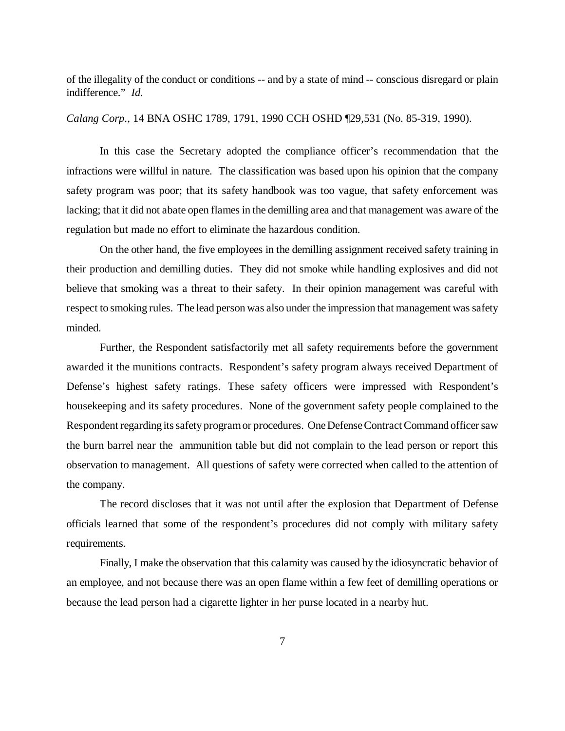of the illegality of the conduct or conditions -- and by a state of mind -- conscious disregard or plain indifference." *Id.*

*Calang Corp*., 14 BNA OSHC 1789, 1791, 1990 CCH OSHD ¶29,531 (No. 85-319, 1990).

In this case the Secretary adopted the compliance officer's recommendation that the infractions were willful in nature. The classification was based upon his opinion that the company safety program was poor; that its safety handbook was too vague, that safety enforcement was lacking; that it did not abate open flames in the demilling area and that management was aware of the regulation but made no effort to eliminate the hazardous condition.

On the other hand, the five employees in the demilling assignment received safety training in their production and demilling duties. They did not smoke while handling explosives and did not believe that smoking was a threat to their safety. In their opinion management was careful with respect to smoking rules. The lead person was also under the impression that management was safety minded.

Further, the Respondent satisfactorily met all safety requirements before the government awarded it the munitions contracts. Respondent's safety program always received Department of Defense's highest safety ratings. These safety officers were impressed with Respondent's housekeeping and its safety procedures. None of the government safety people complained to the Respondent regarding its safety program or procedures. One Defense Contract Command officer saw the burn barrel near the ammunition table but did not complain to the lead person or report this observation to management. All questions of safety were corrected when called to the attention of the company.

The record discloses that it was not until after the explosion that Department of Defense officials learned that some of the respondent's procedures did not comply with military safety requirements.

Finally, I make the observation that this calamity was caused by the idiosyncratic behavior of an employee, and not because there was an open flame within a few feet of demilling operations or because the lead person had a cigarette lighter in her purse located in a nearby hut.